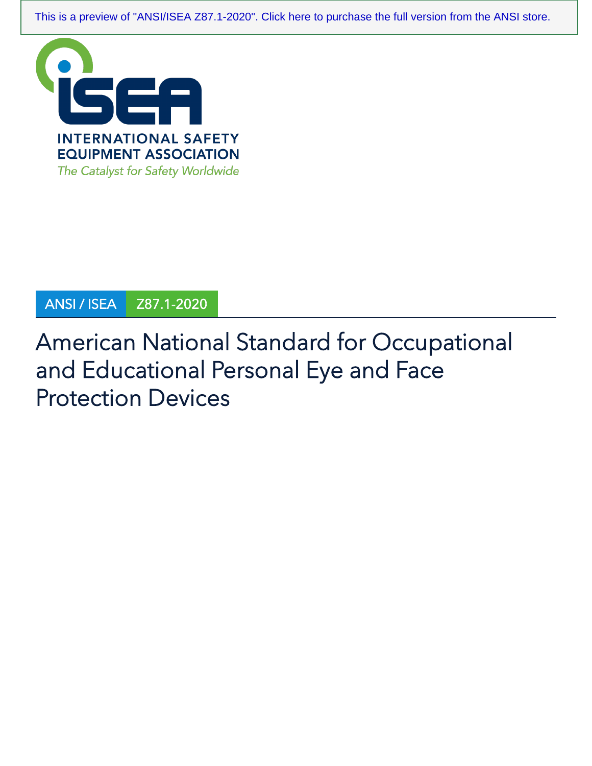[This is a preview of "ANSI/ISEA Z87.1-2020". Click here to purchase the full version from the ANSI store.](https://webstore.ansi.org/Standards/ISEA/ANSIISEAZ872020?source=preview)



# ANSI / ISEA Z87.1-2020

# American National Standard for Occupational and Educational Personal Eye and Face Protection Devices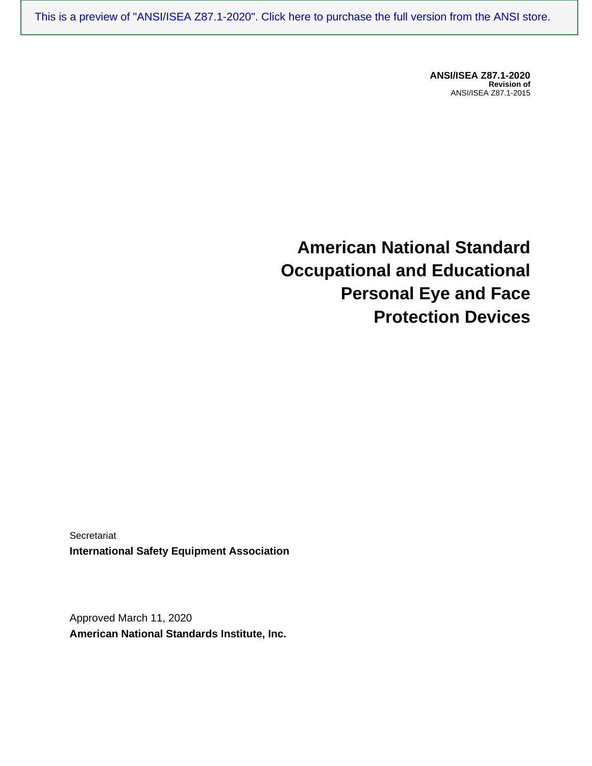[This is a preview of "ANSI/ISEA Z87.1-2020". Click here to purchase the full version from the ANSI store.](https://webstore.ansi.org/Standards/ISEA/ANSIISEAZ872020?source=preview)

**ANSI/ISEA Z87.1-2020 Revision of** ANSI/ISEA Z87.1-2015

**American National Standard Occupational and Educational Personal Eye and Face Protection Devices**

Secretariat **International Safety Equipment Association**

Approved March 11, 2020 **American National Standards Institute, Inc.**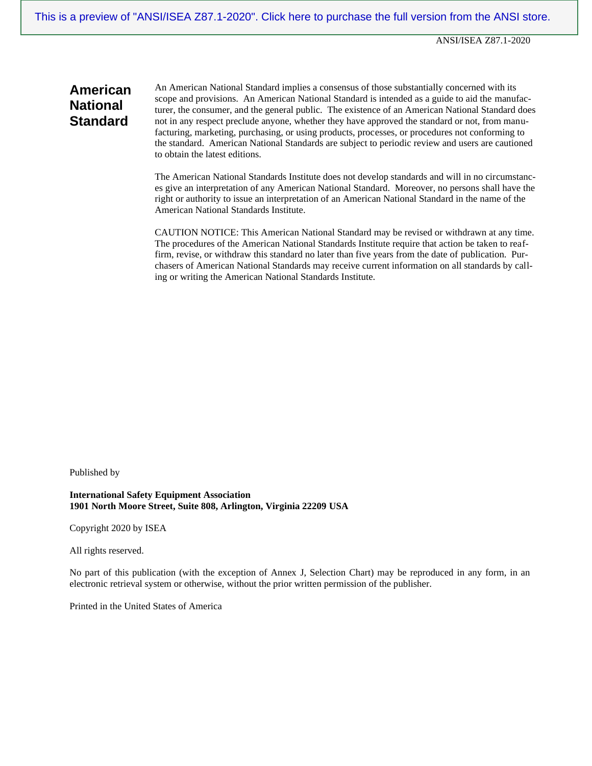# **American National Standard**

An American National Standard implies a consensus of those substantially concerned with its scope and provisions. An American National Standard is intended as a guide to aid the manufacturer, the consumer, and the general public. The existence of an American National Standard does not in any respect preclude anyone, whether they have approved the standard or not, from manufacturing, marketing, purchasing, or using products, processes, or procedures not conforming to the standard. American National Standards are subject to periodic review and users are cautioned to obtain the latest editions.

The American National Standards Institute does not develop standards and will in no circumstances give an interpretation of any American National Standard. Moreover, no persons shall have the right or authority to issue an interpretation of an American National Standard in the name of the American National Standards Institute.

CAUTION NOTICE: This American National Standard may be revised or withdrawn at any time. The procedures of the American National Standards Institute require that action be taken to reaffirm, revise, or withdraw this standard no later than five years from the date of publication. Purchasers of American National Standards may receive current information on all standards by calling or writing the American National Standards Institute.

Published by

**International Safety Equipment Association 1901 North Moore Street, Suite 808, Arlington, Virginia 22209 USA**

Copyright 2020 by ISEA

All rights reserved.

No part of this publication (with the exception of Annex J, Selection Chart) may be reproduced in any form, in an electronic retrieval system or otherwise, without the prior written permission of the publisher.

Printed in the United States of America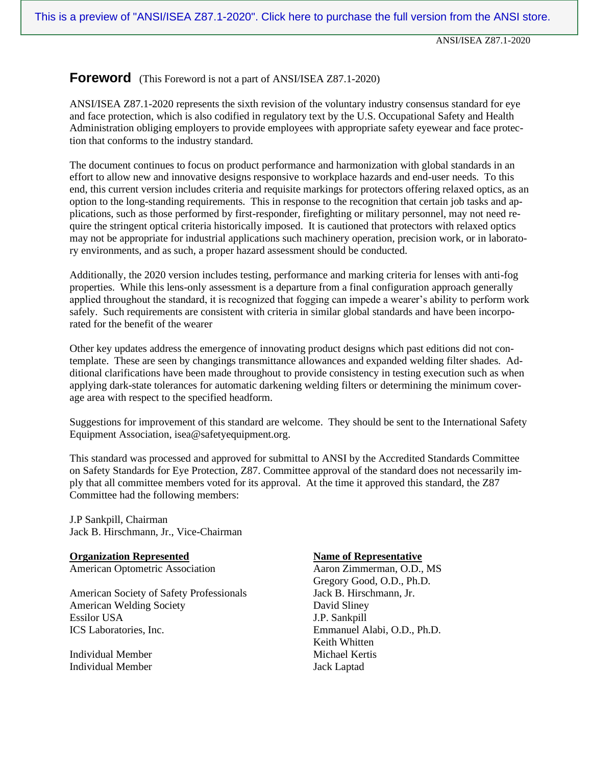## **Foreword** (This Foreword is not a part of ANSI/ISEA Z87.1-2020)

ANSI/ISEA Z87.1-2020 represents the sixth revision of the voluntary industry consensus standard for eye and face protection, which is also codified in regulatory text by the U.S. Occupational Safety and Health Administration obliging employers to provide employees with appropriate safety eyewear and face protection that conforms to the industry standard.

The document continues to focus on product performance and harmonization with global standards in an effort to allow new and innovative designs responsive to workplace hazards and end-user needs. To this end, this current version includes criteria and requisite markings for protectors offering relaxed optics, as an option to the long-standing requirements. This in response to the recognition that certain job tasks and applications, such as those performed by first-responder, firefighting or military personnel, may not need require the stringent optical criteria historically imposed. It is cautioned that protectors with relaxed optics may not be appropriate for industrial applications such machinery operation, precision work, or in laboratory environments, and as such, a proper hazard assessment should be conducted.

Additionally, the 2020 version includes testing, performance and marking criteria for lenses with anti-fog properties. While this lens-only assessment is a departure from a final configuration approach generally applied throughout the standard, it is recognized that fogging can impede a wearer's ability to perform work safely. Such requirements are consistent with criteria in similar global standards and have been incorporated for the benefit of the wearer

Other key updates address the emergence of innovating product designs which past editions did not contemplate. These are seen by changings transmittance allowances and expanded welding filter shades. Additional clarifications have been made throughout to provide consistency in testing execution such as when applying dark-state tolerances for automatic darkening welding filters or determining the minimum coverage area with respect to the specified headform.

Suggestions for improvement of this standard are welcome. They should be sent to the International Safety Equipment Association, isea@safetyequipment.org.

This standard was processed and approved for submittal to ANSI by the Accredited Standards Committee on Safety Standards for Eye Protection, Z87. Committee approval of the standard does not necessarily imply that all committee members voted for its approval. At the time it approved this standard, the Z87 Committee had the following members:

J.P Sankpill, Chairman Jack B. Hirschmann, Jr., Vice-Chairman

**Organization Represented Mame of Representative** American Optometric Association Aaron Zimmerman, O.D., MS

American Society of Safety Professionals Jack B. Hirschmann, Jr. American Welding Society David Sliney Essilor USA J.P. Sankpill ICS Laboratories, Inc. Emmanuel Alabi, O.D., Ph.D.

Individual Member Michael Kertis Individual Member Jack Laptad

Gregory Good, O.D., Ph.D. Keith Whitten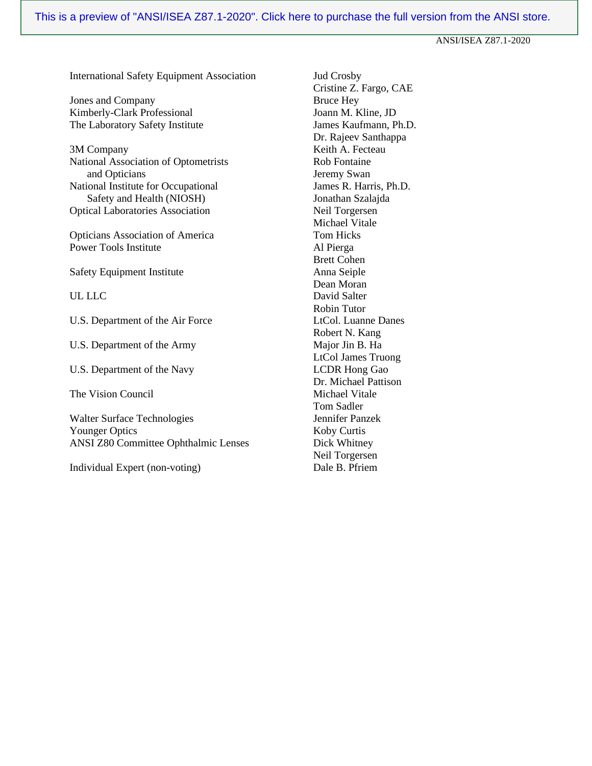International Safety Equipment Association Jud Crosby

Jones and Company<br>
Kimberly-Clark Professional<br>
Gram M. Kline, JD<br>
Bruce Hey<br>
Joann M. Kline, JD Kimberly-Clark Professional The Laboratory Safety Institute James Kaufmann, Ph.D.

3M Company Keith A. Fecteau National Association of Optometrists Rob Fontaine and Opticians Jeremy Swan National Institute for Occupational James R. Harris, Ph.D. Safety and Health (NIOSH) Jonathan Szalajda Optical Laboratories Association Neil Torgersen

Opticians Association of America Tom Hicks Power Tools Institute Al Pierga

Safety Equipment Institute Anna Seiple

U.S. Department of the Air Force LtCol. Luanne Danes

U.S. Department of the Army Major Jin B. Ha

U.S. Department of the Navy LCDR Hong Gao

The Vision Council and Michael Vitale

Walter Surface Technologies Jennifer Panzek Younger Optics Koby Curtis ANSI Z80 Committee Ophthalmic Lenses Dick Whitney

Individual Expert (non-voting) Dale B. Pfriem

Cristine Z. Fargo, CAE Dr. Rajeev Santhappa Michael Vitale Brett Cohen Dean Moran UL LLC David Salter Robin Tutor Robert N. Kang LtCol James Truong Dr. Michael Pattison Tom Sadler Neil Torgersen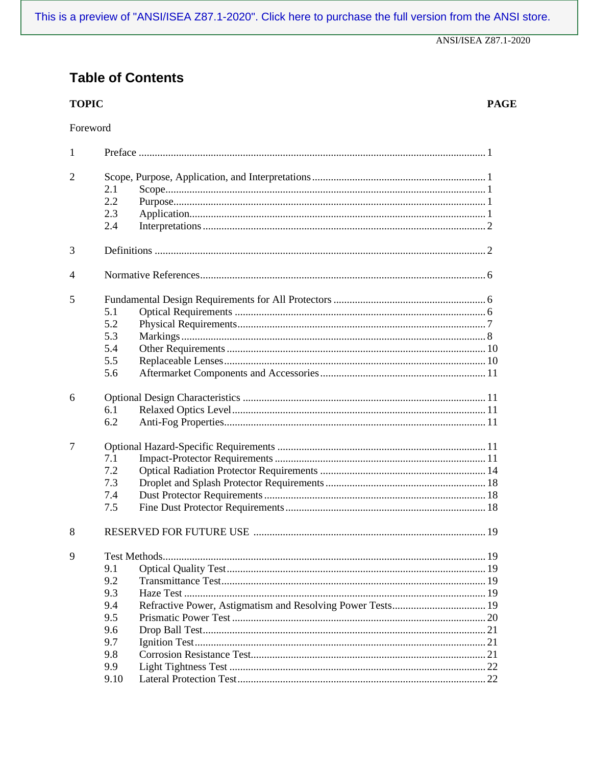# **Table of Contents**

# **TOPIC**

| $\mathbf{1}$   |      |                                                            |  |  |  |  |  |
|----------------|------|------------------------------------------------------------|--|--|--|--|--|
| $\overline{2}$ | 2.1  |                                                            |  |  |  |  |  |
|                | 2.2  |                                                            |  |  |  |  |  |
|                | 2.3  |                                                            |  |  |  |  |  |
|                | 2.4  |                                                            |  |  |  |  |  |
| 3              |      |                                                            |  |  |  |  |  |
| $\overline{4}$ |      |                                                            |  |  |  |  |  |
| 5              |      |                                                            |  |  |  |  |  |
|                | 5.1  |                                                            |  |  |  |  |  |
|                | 5.2  |                                                            |  |  |  |  |  |
|                | 5.3  |                                                            |  |  |  |  |  |
|                | 5.4  |                                                            |  |  |  |  |  |
|                | 5.5  |                                                            |  |  |  |  |  |
|                | 5.6  |                                                            |  |  |  |  |  |
| 6              |      |                                                            |  |  |  |  |  |
|                | 6.1  |                                                            |  |  |  |  |  |
|                | 6.2  |                                                            |  |  |  |  |  |
| $\overline{7}$ |      |                                                            |  |  |  |  |  |
|                | 7.1  |                                                            |  |  |  |  |  |
|                | 7.2  |                                                            |  |  |  |  |  |
|                | 7.3  |                                                            |  |  |  |  |  |
|                | 7.4  |                                                            |  |  |  |  |  |
|                | 7.5  |                                                            |  |  |  |  |  |
| 8              |      |                                                            |  |  |  |  |  |
| 9              |      |                                                            |  |  |  |  |  |
|                | 9.1  |                                                            |  |  |  |  |  |
|                |      |                                                            |  |  |  |  |  |
|                | 9.3  |                                                            |  |  |  |  |  |
|                | 9.4  | Refractive Power, Astigmatism and Resolving Power Tests 19 |  |  |  |  |  |
|                | 9.5  |                                                            |  |  |  |  |  |
|                | 9.6  |                                                            |  |  |  |  |  |
|                | 9.7  |                                                            |  |  |  |  |  |
|                | 9.8  |                                                            |  |  |  |  |  |
|                | 9.9  |                                                            |  |  |  |  |  |
|                | 9.10 |                                                            |  |  |  |  |  |

**PAGE**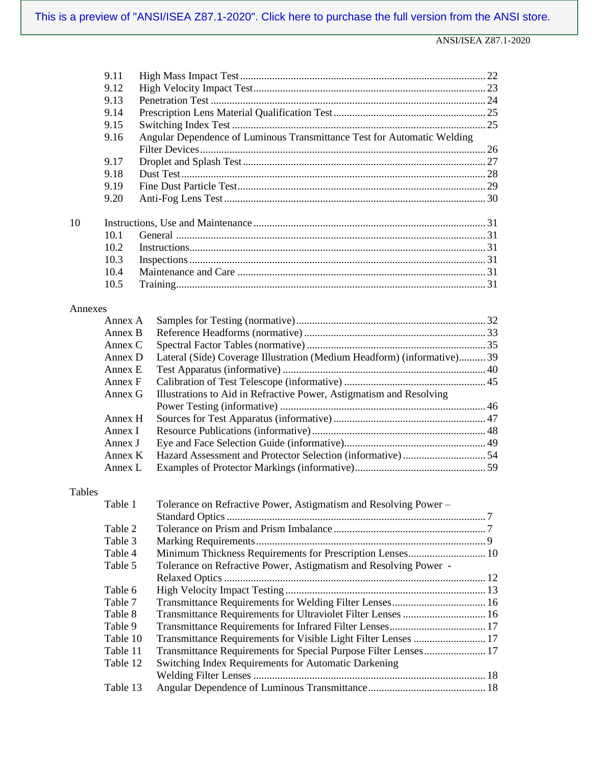|         | 9.11               |                                                                         |                                                                         |  |  |  |  |
|---------|--------------------|-------------------------------------------------------------------------|-------------------------------------------------------------------------|--|--|--|--|
|         | 9.12               |                                                                         |                                                                         |  |  |  |  |
|         | 9.13               |                                                                         |                                                                         |  |  |  |  |
|         | 9.14               |                                                                         |                                                                         |  |  |  |  |
|         | 9.15               |                                                                         |                                                                         |  |  |  |  |
|         | 9.16               | Angular Dependence of Luminous Transmittance Test for Automatic Welding |                                                                         |  |  |  |  |
|         |                    |                                                                         |                                                                         |  |  |  |  |
|         | 9.17               |                                                                         |                                                                         |  |  |  |  |
|         | 9.18               |                                                                         |                                                                         |  |  |  |  |
|         | 9.19               |                                                                         |                                                                         |  |  |  |  |
|         | 9.20               |                                                                         |                                                                         |  |  |  |  |
| 10      |                    |                                                                         |                                                                         |  |  |  |  |
|         | 10.1               |                                                                         |                                                                         |  |  |  |  |
|         | 10.2               |                                                                         |                                                                         |  |  |  |  |
|         | 10.3               |                                                                         |                                                                         |  |  |  |  |
|         | 10.4               |                                                                         |                                                                         |  |  |  |  |
|         | 10.5               |                                                                         |                                                                         |  |  |  |  |
|         |                    |                                                                         |                                                                         |  |  |  |  |
| Annexes | Annex A            |                                                                         |                                                                         |  |  |  |  |
|         | Annex B            |                                                                         |                                                                         |  |  |  |  |
|         | Annex C            |                                                                         |                                                                         |  |  |  |  |
|         | Annex D            |                                                                         | Lateral (Side) Coverage Illustration (Medium Headform) (informative) 39 |  |  |  |  |
|         |                    |                                                                         |                                                                         |  |  |  |  |
|         | Annex E<br>Annex F |                                                                         |                                                                         |  |  |  |  |
|         |                    |                                                                         |                                                                         |  |  |  |  |
|         | Annex G            |                                                                         | Illustrations to Aid in Refractive Power, Astigmatism and Resolving     |  |  |  |  |
|         | Annex H            |                                                                         |                                                                         |  |  |  |  |
|         | Annex I            |                                                                         |                                                                         |  |  |  |  |
|         | Annex J            |                                                                         |                                                                         |  |  |  |  |
|         | Annex K            |                                                                         |                                                                         |  |  |  |  |
|         | Annex L            |                                                                         |                                                                         |  |  |  |  |
|         |                    |                                                                         |                                                                         |  |  |  |  |
| Tables  | Table 1            |                                                                         | Tolerance on Refractive Power, Astigmatism and Resolving Power -        |  |  |  |  |
|         |                    |                                                                         |                                                                         |  |  |  |  |
|         | Table 2            |                                                                         |                                                                         |  |  |  |  |
|         |                    |                                                                         |                                                                         |  |  |  |  |
|         | Table 3            |                                                                         |                                                                         |  |  |  |  |
|         | Table 4            |                                                                         | Minimum Thickness Requirements for Prescription Lenses 10               |  |  |  |  |
|         | Table 5            |                                                                         | Tolerance on Refractive Power, Astigmatism and Resolving Power -        |  |  |  |  |
|         |                    |                                                                         |                                                                         |  |  |  |  |
|         | Table 6            |                                                                         |                                                                         |  |  |  |  |
|         | Table 7            |                                                                         |                                                                         |  |  |  |  |
|         | Table 8            |                                                                         | Transmittance Requirements for Ultraviolet Filter Lenses  16            |  |  |  |  |
|         | Table 9            |                                                                         |                                                                         |  |  |  |  |
|         | Table 10           |                                                                         | Transmittance Requirements for Visible Light Filter Lenses  17          |  |  |  |  |
|         | Table 11           |                                                                         | Transmittance Requirements for Special Purpose Filter Lenses 17         |  |  |  |  |
|         | Table 12           |                                                                         | Switching Index Requirements for Automatic Darkening                    |  |  |  |  |
|         | Table 13           |                                                                         |                                                                         |  |  |  |  |
|         |                    |                                                                         |                                                                         |  |  |  |  |